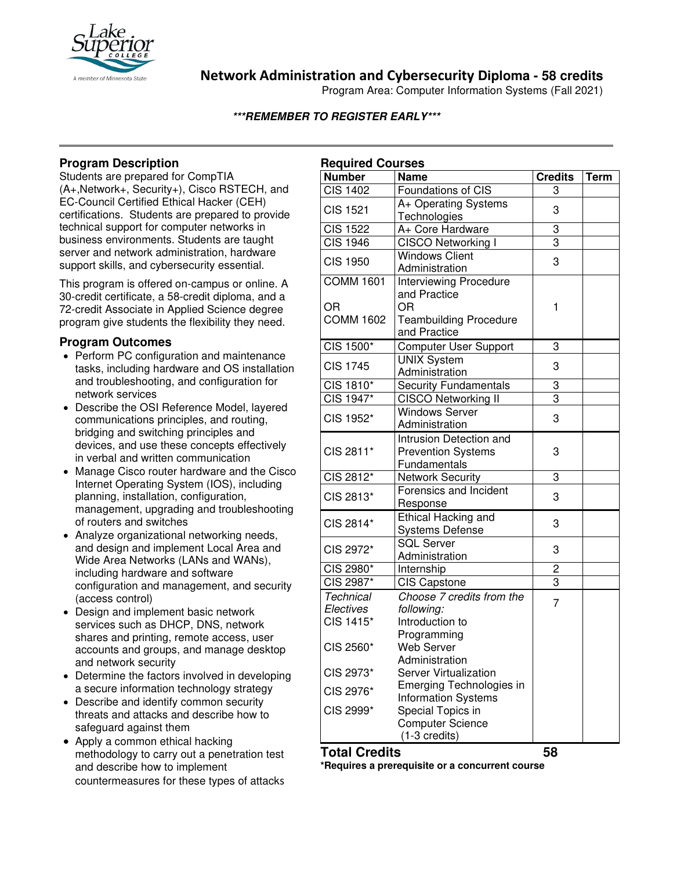

**Network Administration and Cybersecurity Diploma - 58 credits**

Program Area: Computer Information Systems (Fall 2021)

## **\*\*\*REMEMBER TO REGISTER EARLY\*\*\***

## **Program Description**

Students are prepared for CompTIA (A+,Network+, Security+), Cisco RSTECH, and EC-Council Certified Ethical Hacker (CEH) certifications. Students are prepared to provide technical support for computer networks in business environments. Students are taught server and network administration, hardware support skills, and cybersecurity essential.

This program is offered on-campus or online. A 30-credit certificate, a 58-credit diploma, and a 72-credit Associate in Applied Science degree program give students the flexibility they need.

## **Program Outcomes**

- Perform PC configuration and maintenance tasks, including hardware and OS installation and troubleshooting, and configuration for network services
- Describe the OSI Reference Model, layered communications principles, and routing, bridging and switching principles and devices, and use these concepts effectively in verbal and written communication
- Manage Cisco router hardware and the Cisco Internet Operating System (IOS), including planning, installation, configuration, management, upgrading and troubleshooting of routers and switches
- Analyze organizational networking needs, and design and implement Local Area and Wide Area Networks (LANs and WANs), including hardware and software configuration and management, and security (access control)
- Design and implement basic network services such as DHCP, DNS, network shares and printing, remote access, user accounts and groups, and manage desktop and network security
- Determine the factors involved in developing a secure information technology strategy
- Describe and identify common security threats and attacks and describe how to safeguard against them
- Apply a common ethical hacking methodology to carry out a penetration test and describe how to implement countermeasures for these types of attacks

| <b>Required Courses</b> |                               |                |             |
|-------------------------|-------------------------------|----------------|-------------|
| <b>Number</b>           | <b>Name</b>                   | <b>Credits</b> | <b>Term</b> |
| <b>CIS 1402</b>         | Foundations of CIS            | 3              |             |
| <b>CIS 1521</b>         | A+ Operating Systems          | 3              |             |
|                         | Technologies                  |                |             |
| <b>CIS 1522</b>         | A+ Core Hardware              | 3              |             |
| <b>CIS 1946</b>         | CISCO Networking I            | 3              |             |
| <b>CIS 1950</b>         | <b>Windows Client</b>         | 3              |             |
|                         | Administration                |                |             |
| <b>COMM 1601</b>        | <b>Interviewing Procedure</b> |                |             |
|                         | and Practice                  |                |             |
| OR                      | OR                            | 1              |             |
| <b>COMM 1602</b>        | <b>Teambuilding Procedure</b> |                |             |
|                         | and Practice                  |                |             |
| CIS 1500*               | <b>Computer User Support</b>  | 3              |             |
| <b>CIS 1745</b>         | <b>UNIX System</b>            | 3              |             |
|                         | Administration                |                |             |
| CIS 1810*               | <b>Security Fundamentals</b>  | 3              |             |
| CIS 1947*               | <b>CISCO Networking II</b>    | 3              |             |
| CIS 1952*               | <b>Windows Server</b>         | 3              |             |
|                         | Administration                |                |             |
|                         | Intrusion Detection and       |                |             |
| CIS 2811*               | <b>Prevention Systems</b>     | 3              |             |
|                         | Fundamentals                  |                |             |
| CIS 2812*               | <b>Network Security</b>       | 3              |             |
| CIS 2813*               | Forensics and Incident        | 3              |             |
|                         | Response                      |                |             |
| CIS 2814*               | Ethical Hacking and           | 3              |             |
|                         | <b>Systems Defense</b>        |                |             |
| CIS 2972*               | <b>SQL Server</b>             | 3              |             |
|                         | Administration                |                |             |
| CIS 2980*               | Internship                    | 2              |             |
| CIS 2987*               | <b>CIS Capstone</b>           | $\overline{3}$ |             |
| <b>Technical</b>        | Choose 7 credits from the     | $\overline{7}$ |             |
| Electives               | following:                    |                |             |
| CIS 1415*               | Introduction to               |                |             |
| CIS 2560*               | Programming                   |                |             |
|                         | <b>Web Server</b>             |                |             |
|                         | Administration                |                |             |
| CIS 2973*               | <b>Server Virtualization</b>  |                |             |
| CIS 2976*               | Emerging Technologies in      |                |             |
|                         | Information Systems           |                |             |
| CIS 2999*               | Special Topics in             |                |             |
|                         | <b>Computer Science</b>       |                |             |
|                         | (1-3 credits)                 |                |             |

## **Total Credits 58**

**\*Requires a prerequisite or a concurrent course**